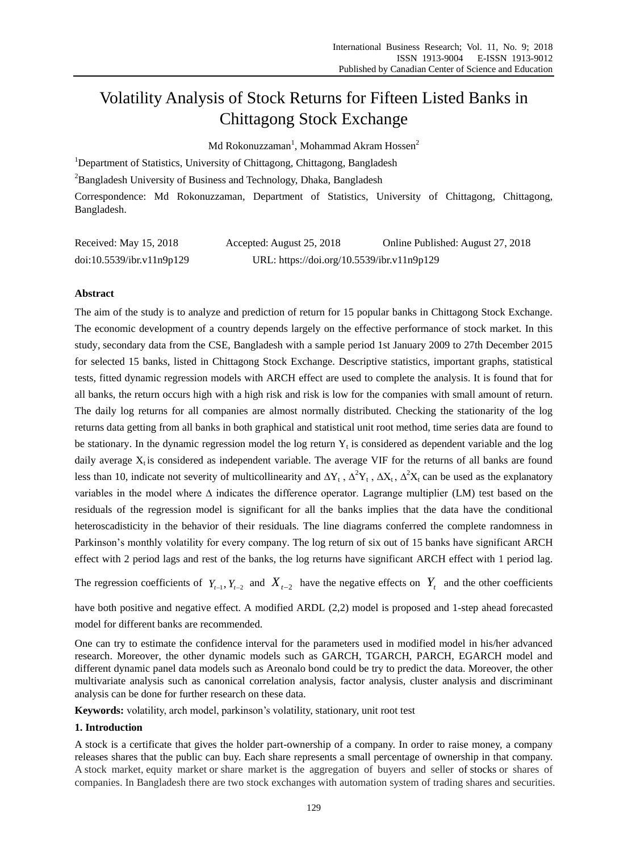# Volatility Analysis of Stock Returns for Fifteen Listed Banks in Chittagong Stock Exchange

 $\rm{Md}$  Rokonuzzaman $^{\rm{l}}$ , Mohammad Akram Hossen $^{\rm{2}}$ 

<sup>1</sup>Department of Statistics, University of Chittagong, Chittagong, Bangladesh

<sup>2</sup>Bangladesh University of Business and Technology, Dhaka, Bangladesh

Correspondence: Md Rokonuzzaman, Department of Statistics, University of Chittagong, Chittagong, Bangladesh.

| Received: May 15, 2018    | Accepted: August 25, 2018                  | Online Published: August 27, 2018 |
|---------------------------|--------------------------------------------|-----------------------------------|
| doi:10.5539/ibr.v11n9p129 | URL: https://doi.org/10.5539/ibr.v11n9p129 |                                   |

# **Abstract**

The aim of the study is to analyze and prediction of return for 15 popular banks in Chittagong Stock Exchange. The economic development of a country depends largely on the effective performance of stock market. In this study, secondary data from the CSE, Bangladesh with a sample period 1st January 2009 to 27th December 2015 for selected 15 banks, listed in Chittagong Stock Exchange. Descriptive statistics, important graphs, statistical tests, fitted dynamic regression models with ARCH effect are used to complete the analysis. It is found that for all banks, the return occurs high with a high risk and risk is low for the companies with small amount of return. The daily log returns for all companies are almost normally distributed. Checking the stationarity of the log returns data getting from all banks in both graphical and statistical unit root method, time series data are found to be stationary. In the dynamic regression model the log return  $Y_t$  is considered as dependent variable and the log daily average  $X_t$  is considered as independent variable. The average VIF for the returns of all banks are found less than 10, indicate not severity of multicollinearity and  $\Delta Y_t$ ,  $\Delta^2 Y_t$ ,  $\Delta X_t$ ,  $\Delta^2 X_t$  can be used as the explanatory variables in the model where ∆ indicates the difference operator. Lagrange multiplier (LM) test based on the residuals of the regression model is significant for all the banks implies that the data have the conditional heteroscadisticity in the behavior of their residuals. The line diagrams conferred the complete randomness in Parkinson's monthly volatility for every company. The log return of six out of 15 banks have significant ARCH effect with 2 period lags and rest of the banks, the log returns have significant ARCH effect with 1 period lag.

The regression coefficients of  $Y_{t-1}$ ,  $Y_{t-2}$  and  $X_{t-2}$  have the negative effects on  $Y_t$  and the other coefficients

have both positive and negative effect. A modified ARDL (2,2) model is proposed and 1-step ahead forecasted model for different banks are recommended.

One can try to estimate the confidence interval for the parameters used in modified model in his/her advanced research. Moreover, the other dynamic models such as GARCH, TGARCH, PARCH, EGARCH model and different dynamic panel data models such as Areonalo bond could be try to predict the data. Moreover, the other multivariate analysis such as canonical correlation analysis, factor analysis, cluster analysis and discriminant analysis can be done for further research on these data.

**Keywords:** volatility, arch model, parkinson's volatility, stationary, unit root test

# **1. Introduction**

A stock is a certificate that gives the holder part-ownership of a company. In order to raise money, a company releases shares that the public can buy. Each share represents a small percentage of ownership in that company. A stock market, equity market or share market is the aggregation of buyers and seller of [stocks](https://en.wikipedia.org/wiki/Stock) or shares of companies. In Bangladesh there are two stock exchanges with automation system of trading shares and securities.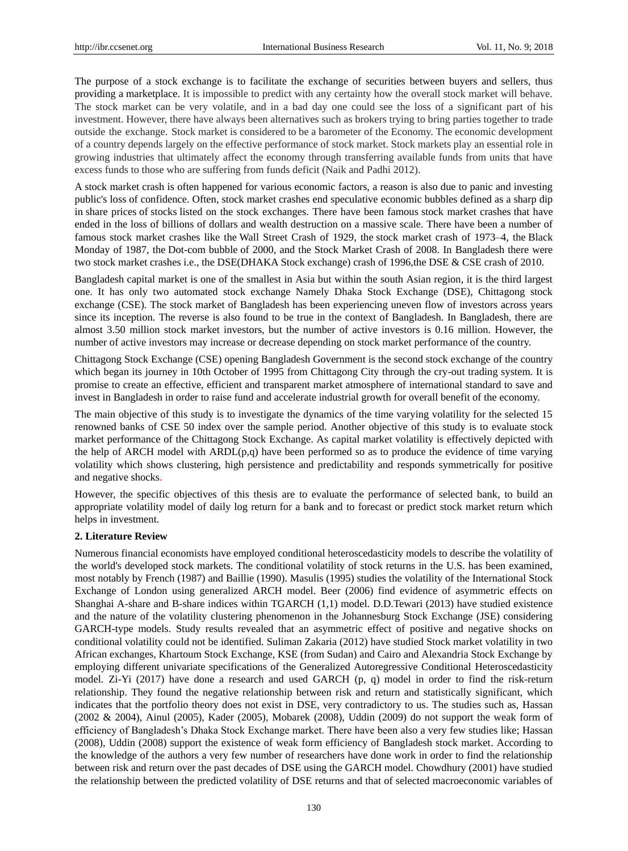The purpose of a stock exchange is to facilitate the exchange of securities between buyers and sellers, thus providing a [marketplace.](https://en.wikipedia.org/wiki/Marketplace) It is impossible to predict with any certainty how the overall stock market will behave. The stock market can be very volatile, and in a bad day one could see the loss of a significant part of his investment. However, there have always been alternatives such as brokers trying to bring parties together to trade outside the exchange. Stock market is considered to be a barometer of the Economy. The economic development of a country depends largely on the effective performance of stock market. Stock markets play an essential role in growing industries that ultimately affect the economy through transferring available funds from units that have excess funds to those who are suffering from funds deficit (Naik and Padhi 2012).

A stock market crash is often happened for various economic factors, a reason is also due to panic and investing public's loss of confidence. Often, stock market crashes end speculative [economic bubbles](https://en.wikipedia.org/wiki/Economic_bubble) defined as a sharp dip in [share prices](https://en.wikipedia.org/wiki/Share_price) of [stocks](https://en.wikipedia.org/wiki/Stock) listed on the stock exchanges. There have been famous [stock market crashes](https://en.wikipedia.org/wiki/Stock_market_crash) that have ended in the loss of billions of dollars and wealth destruction on a massive scale. There have been a number of famous stock market crashes like the [Wall Street Crash of 1929,](https://en.wikipedia.org/wiki/Wall_Street_Crash_of_1929) the [stock market crash of 1973–4,](https://en.wikipedia.org/wiki/Stock_market_crash_of_1973%E2%80%934) the [Black](https://en.wikipedia.org/wiki/Black_Monday_(1987))  [Monday of 1987,](https://en.wikipedia.org/wiki/Black_Monday_(1987)) the [Dot-com bubble](https://en.wikipedia.org/wiki/Dot-com_bubble) of 2000, and the Stock Market Crash of 2008. In Bangladesh there were two stock market crashes i.e., the DSE(DHAKA Stock exchange) crash of 1996,the DSE & CSE crash of 2010.

Bangladesh capital market is one of the smallest in Asia but within the south Asian region, it is the third largest one. It has only two automated stock exchange Namely Dhaka Stock Exchange (DSE), Chittagong stock exchange (CSE). The stock market of Bangladesh has been experiencing uneven flow of investors across years since its inception. The reverse is also found to be true in the context of Bangladesh. In Bangladesh, there are almost 3.50 million stock market investors, but the number of active investors is 0.16 million. However, the number of active investors may increase or decrease depending on stock market performance of the country.

Chittagong Stock Exchange (CSE) opening Bangladesh Government is the second stock exchange of the country which began its journey in 10th October of 1995 from Chittagong City through the cry-out trading system. It is promise to create an effective, efficient and transparent market atmosphere of international standard to save and invest in Bangladesh in order to raise fund and accelerate industrial growth for overall benefit of the economy.

The main objective of this study is to investigate the dynamics of the time varying volatility for the selected 15 renowned banks of CSE 50 index over the sample period. Another objective of this study is to evaluate stock market performance of the Chittagong Stock Exchange. As capital market volatility is effectively depicted with the help of ARCH model with  $ARDL(p,q)$  have been performed so as to produce the evidence of time varying volatility which shows clustering, high persistence and predictability and responds symmetrically for positive and negative shocks.

However, the specific objectives of this thesis are to evaluate the performance of selected bank, to build an appropriate volatility model of daily log return for a bank and to forecast or predict stock market return which helps in investment.

# **2. Literature Review**

Numerous financial economists have employed conditional heteroscedasticity models to describe the volatility of the world's developed stock markets. The conditional volatility of stock returns in the U.S. has been examined, most notably by French (1987) and Baillie (1990). Masulis (1995) studies the volatility of the International Stock Exchange of London using generalized ARCH model. Beer (2006) find evidence of asymmetric effects on Shanghai A-share and B-share indices within TGARCH (1,1) model. D.D.Tewari (2013) have studied existence and the nature of the volatility clustering phenomenon in the Johannesburg Stock Exchange (JSE) considering GARCH-type models. Study results revealed that an asymmetric effect of positive and negative shocks on conditional volatility could not be identified. Suliman Zakaria (2012) have studied Stock market volatility in two African exchanges, Khartoum Stock Exchange, KSE (from Sudan) and Cairo and Alexandria Stock Exchange by employing different univariate specifications of the Generalized Autoregressive Conditional Heteroscedasticity model. Zi-Yi (2017) have done a research and used GARCH (p, q) model in order to find the risk-return relationship. They found the negative relationship between risk and return and statistically significant, which indicates that the portfolio theory does not exist in DSE, very contradictory to us. The studies such as, Hassan (2002 & 2004), Ainul (2005), Kader (2005), Mobarek (2008), Uddin (2009) do not support the weak form of efficiency of Bangladesh's Dhaka Stock Exchange market. There have been also a very few studies like; Hassan (2008), Uddin (2008) support the existence of weak form efficiency of Bangladesh stock market. According to the knowledge of the authors a very few number of researchers have done work in order to find the relationship between risk and return over the past decades of DSE using the GARCH model. Chowdhury (2001) have studied the relationship between the predicted volatility of DSE returns and that of selected macroeconomic variables of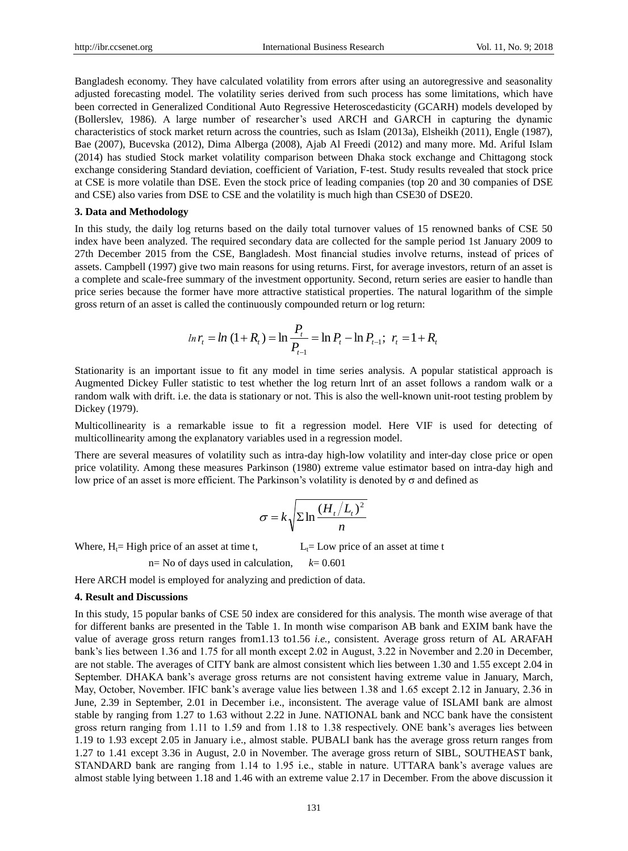Bangladesh economy. They have calculated volatility from errors after using an autoregressive and seasonality adjusted forecasting model. The volatility series derived from such process has some limitations, which have been corrected in Generalized Conditional Auto Regressive Heteroscedasticity (GCARH) models developed by (Bollerslev, 1986). A large number of researcher's used ARCH and GARCH in capturing the dynamic characteristics of stock market return across the countries, such as Islam (2013a), Elsheikh (2011), Engle (1987), Bae (2007), Bucevska (2012), Dima Alberga (2008), Ajab Al Freedi (2012) and many more. Md. Ariful Islam (2014) has studied Stock market volatility comparison between Dhaka stock exchange and Chittagong stock exchange considering Standard deviation, coefficient of Variation, F-test. Study results revealed that stock price at CSE is more volatile than DSE. Even the stock price of leading companies (top 20 and 30 companies of DSE and CSE) also varies from DSE to CSE and the volatility is much high than CSE30 of DSE20.

## **3. Data and Methodology**

In this study, the daily log returns based on the daily total turnover values of 15 renowned banks of CSE 50 index have been analyzed. The required secondary data are collected for the sample period 1st January 2009 to 27th December 2015 from the CSE, Bangladesh. Most financial studies involve returns, instead of prices of assets. Campbell (1997) give two main reasons for using returns. First, for average investors, return of an asset is a complete and scale-free summary of the investment opportunity. Second, return series are easier to handle than price series because the former have more attractive statistical properties. The natural logarithm of the simple gross return of an asset is called the continuously compounded return or log return:

$$
\ln r_t = \ln (1 + R_t) = \ln \frac{P_t}{P_{t-1}} = \ln P_t - \ln P_{t-1}; \ \ r_t = 1 + R_t
$$

Stationarity is an important issue to fit any model in time series analysis. A popular statistical approach is Augmented Dickey Fuller statistic to test whether the log return lnrt of an asset follows a random walk or a random walk with drift. i.e. the data is stationary or not. This is also the well-known unit-root testing problem by Dickey (1979).

Multicollinearity is a remarkable issue to fit a regression model. Here VIF is used for detecting of multicollinearity among the explanatory variables used in a regression model.

There are several measures of volatility such as intra-day high-low volatility and inter-day close price or open price volatility. Among these measures Parkinson (1980) extreme value estimator based on intra-day high and low price of an asset is more efficient. The Parkinson's volatility is denoted by  $\sigma$  and defined as

$$
\sigma = k \sqrt{\sum \ln \frac{(H_t/L_t)^2}{n}}
$$

Where,  $H_1$ = High price of an asset at time t,  $L_1$ = Low price of an asset at time t

n= No of days used in calculation,  $k= 0.601$ 

Here ARCH model is employed for analyzing and prediction of data.

## **4. Result and Discussions**

In this study, 15 popular banks of CSE 50 index are considered for this analysis. The month wise average of that for different banks are presented in the Table 1. In month wise comparison AB bank and EXIM bank have the value of average gross return ranges from1.13 to1.56 *i.e.,* consistent. Average gross return of AL ARAFAH bank's lies between 1.36 and 1.75 for all month except 2.02 in August, 3.22 in November and 2.20 in December, are not stable. The averages of CITY bank are almost consistent which lies between 1.30 and 1.55 except 2.04 in September. DHAKA bank's average gross returns are not consistent having extreme value in January, March, May, October, November. IFIC bank's average value lies between 1.38 and 1.65 except 2.12 in January, 2.36 in June, 2.39 in September, 2.01 in December i.e., inconsistent. The average value of ISLAMI bank are almost stable by ranging from 1.27 to 1.63 without 2.22 in June. NATIONAL bank and NCC bank have the consistent gross return ranging from 1.11 to 1.59 and from 1.18 to 1.38 respectively. ONE bank's averages lies between 1.19 to 1.93 except 2.05 in January i.e., almost stable. PUBALI bank has the average gross return ranges from 1.27 to 1.41 except 3.36 in August, 2.0 in November. The average gross return of SIBL, SOUTHEAST bank, STANDARD bank are ranging from 1.14 to 1.95 i.e., stable in nature. UTTARA bank's average values are almost stable lying between 1.18 and 1.46 with an extreme value 2.17 in December. From the above discussion it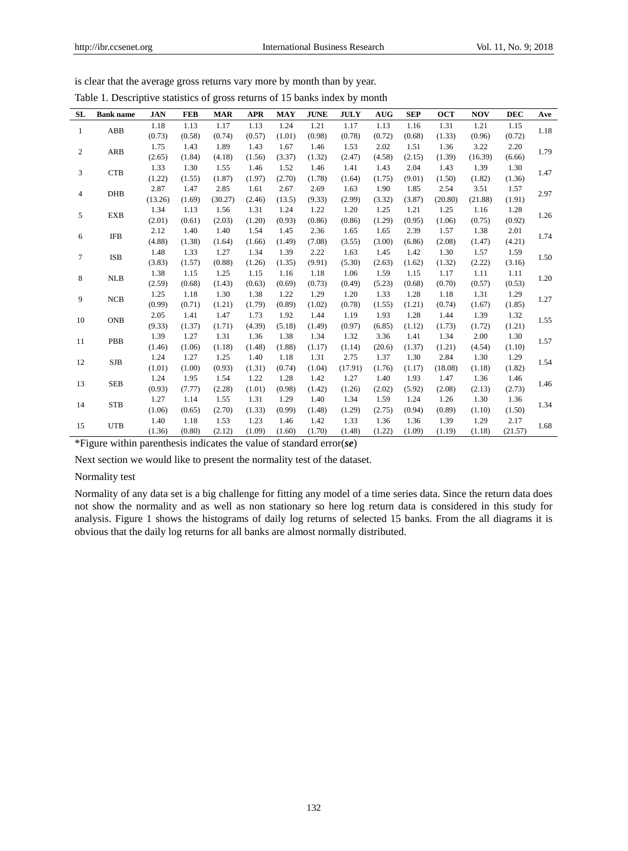| <b>SL</b>      | <b>Bank</b> name | <b>JAN</b> | <b>FEB</b> | <b>MAR</b> | <b>APR</b> | <b>MAY</b> | <b>JUNE</b> | <b>JULY</b> | <b>AUG</b> | <b>SEP</b> | <b>OCT</b> | <b>NOV</b> | <b>DEC</b> | Ave  |
|----------------|------------------|------------|------------|------------|------------|------------|-------------|-------------|------------|------------|------------|------------|------------|------|
| $\mathbf{1}$   | ABB              | 1.18       | 1.13       | 1.17       | 1.13       | 1.24       | 1.21        | 1.17        | 1.13       | 1.16       | 1.31       | 1.21       | 1.15       | 1.18 |
|                |                  | (0.73)     | (0.58)     | (0.74)     | (0.57)     | (1.01)     | (0.98)      | (0.78)      | (0.72)     | (0.68)     | (1.33)     | (0.96)     | (0.72)     |      |
| $\mathfrak{2}$ | <b>ARB</b>       | 1.75       | 1.43       | 1.89       | 1.43       | 1.67       | 1.46        | 1.53        | 2.02       | 1.51       | 1.36       | 3.22       | 2.20       | 1.79 |
|                |                  | (2.65)     | (1.84)     | (4.18)     | (1.56)     | (3.37)     | (1.32)      | (2.47)      | (4.58)     | (2.15)     | (1.39)     | (16.39)    | (6.66)     |      |
| 3              | <b>CTB</b>       | 1.33       | 1.30       | 1.55       | 1.46       | 1.52       | 1.46        | 1.41        | 1.43       | 2.04       | 1.43       | 1.39       | 1.30       | 1.47 |
|                |                  | (1.22)     | (1.55)     | (1.87)     | (1.97)     | (2.70)     | (1.78)      | (1.64)      | (1.75)     | (9.01)     | (1.50)     | (1.82)     | (1.36)     |      |
| 4              | <b>DHB</b>       | 2.87       | 1.47       | 2.85       | 1.61       | 2.67       | 2.69        | 1.63        | 1.90       | 1.85       | 2.54       | 3.51       | 1.57       | 2.97 |
|                |                  | (13.26)    | (1.69)     | (30.27)    | (2.46)     | (13.5)     | (9.33)      | (2.99)      | (3.32)     | (3.87)     | (20.80)    | (21.88)    | (1.91)     |      |
| 5              | <b>EXB</b>       | 1.34       | 1.13       | 1.56       | 1.31       | 1.24       | 1.22        | 1.20        | 1.25       | 1.21       | 1.25       | 1.16       | 1.28       | 1.26 |
|                |                  | (2.01)     | (0.61)     | (2.03)     | (1.20)     | (0.93)     | (0.86)      | (0.86)      | (1.29)     | (0.95)     | (1.06)     | (0.75)     | (0.92)     |      |
| 6              | <b>IFB</b>       | 2.12       | 1.40       | 1.40       | 1.54       | 1.45       | 2.36        | 1.65        | 1.65       | 2.39       | 1.57       | 1.38       | 2.01       | 1.74 |
|                |                  | (4.88)     | (1.38)     | (1.64)     | (1.66)     | (1.49)     | (7.08)      | (3.55)      | (3.00)     | (6.86)     | (2.08)     | (1.47)     | (4.21)     |      |
| 7              | <b>ISB</b>       | 1.48       | 1.33       | 1.27       | 1.34       | 1.39       | 2.22        | 1.63        | 1.45       | 1.42       | 1.30       | 1.57       | 1.59       | 1.50 |
|                |                  | (3.83)     | (1.57)     | (0.88)     | (1.26)     | (1.35)     | (9.91)      | (5.30)      | (2.63)     | (1.62)     | (1.32)     | (2.22)     | (3.16)     |      |
| 8              | <b>NLB</b>       | 1.38       | 1.15       | 1.25       | 1.15       | 1.16       | 1.18        | 1.06        | 1.59       | 1.15       | 1.17       | 1.11       | 1.11       | 1.20 |
|                |                  | (2.59)     | (0.68)     | (1.43)     | (0.63)     | (0.69)     | (0.73)      | (0.49)      | (5.23)     | (0.68)     | (0.70)     | (0.57)     | (0.53)     |      |
| 9              | NCB              | 1.25       | 1.18       | 1.30       | 1.38       | 1.22       | 1.29        | 1.20        | 1.33       | 1.28       | 1.18       | 1.31       | 1.29       | 1.27 |
|                |                  | (0.99)     | (0.71)     | (1.21)     | (1.79)     | (0.89)     | (1.02)      | (0.78)      | (1.55)     | (1.21)     | (0.74)     | (1.67)     | (1.85)     |      |
| 10             | <b>ONB</b>       | 2.05       | 1.41       | 1.47       | 1.73       | 1.92       | 1.44        | 1.19        | 1.93       | 1.28       | 1.44       | 1.39       | 1.32       | 1.55 |
|                |                  | (9.33)     | (1.37)     | (1.71)     | (4.39)     | (5.18)     | (1.49)      | (0.97)      | (6.85)     | (1.12)     | (1.73)     | (1.72)     | (1.21)     |      |
| 11             | PBB              | 1.39       | 1.27       | 1.31       | 1.36       | 1.38       | 1.34        | 1.32        | 3.36       | 1.41       | 1.34       | 2.00       | 1.30       | 1.57 |
|                |                  | (1.46)     | (1.06)     | (1.18)     | (1.48)     | (1.88)     | (1.17)      | (1.14)      | (20.6)     | (1.37)     | (1.21)     | (4.54)     | (1.10)     |      |
| 12             | <b>SJB</b>       | 1.24       | 1.27       | 1.25       | 1.40       | 1.18       | 1.31        | 2.75        | 1.37       | 1.30       | 2.84       | 1.30       | 1.29       | 1.54 |
|                |                  | (1.01)     | (1.00)     | (0.93)     | (1.31)     | (0.74)     | (1.04)      | (17.91)     | (1.76)     | (1.17)     | (18.08)    | (1.18)     | (1.82)     |      |
| 13             | <b>SEB</b>       | 1.24       | 1.95       | 1.54       | 1.22       | 1.28       | 1.42        | 1.27        | 1.40       | 1.93       | 1.47       | 1.36       | 1.46       | 1.46 |
|                |                  | (0.93)     | (7.77)     | (2.28)     | (1.01)     | (0.98)     | (1.42)      | (1.26)      | (2.02)     | (5.92)     | (2.08)     | (2.13)     | (2.73)     |      |
| 14             | <b>STB</b>       | 1.27       | 1.14       | 1.55       | 1.31       | 1.29       | 1.40        | 1.34        | 1.59       | 1.24       | 1.26       | 1.30       | 1.36       | 1.34 |
|                |                  | (1.06)     | (0.65)     | (2.70)     | (1.33)     | (0.99)     | (1.48)      | (1.29)      | (2.75)     | (0.94)     | (0.89)     | (1.10)     | (1.50)     |      |
| 15             | <b>UTB</b>       | 1.40       | 1.18       | 1.53       | 1.23       | 1.46       | 1.42        | 1.33        | 1.36       | 1.36       | 1.39       | 1.29       | 2.17       | 1.68 |
|                |                  | (1.36)     | (0.80)     | (2.12)     | (1.09)     | (1.60)     | (1.70)      | (1.48)      | (1.22)     | (1.09)     | (1.19)     | (1.18)     | (21.57)    |      |

\*Figure within parenthesis indicates the value of standard error(*se*)

Next section we would like to present the normality test of the dataset.

# Normality test

Normality of any data set is a big challenge for fitting any model of a time series data. Since the return data does not show the normality and as well as non stationary so here log return data is considered in this study for analysis. Figure 1 shows the histograms of daily log returns of selected 15 banks. From the all diagrams it is obvious that the daily log returns for all banks are almost normally distributed.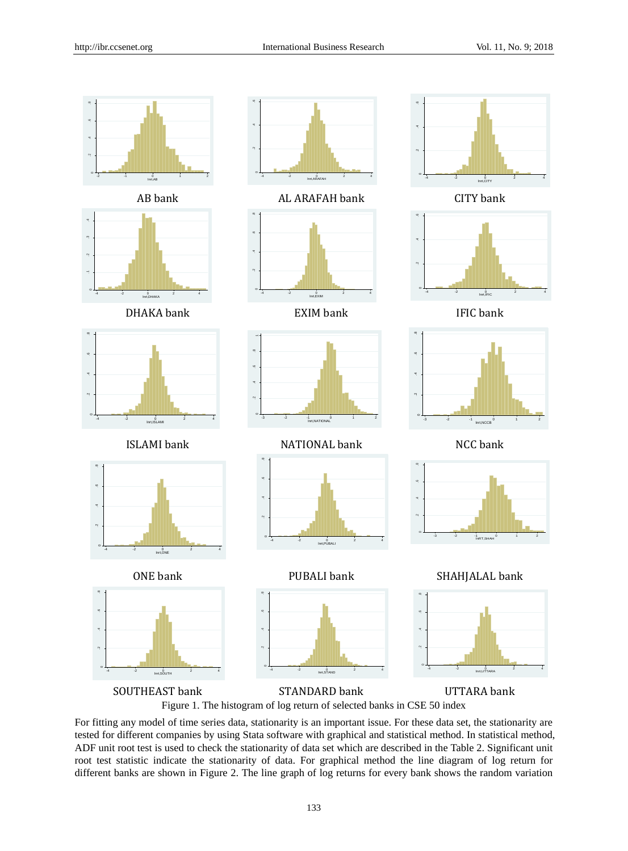

For fitting any model of time series data, stationarity is an important issue. For these data set, the stationarity are tested for different companies by using Stata software with graphical and statistical method. In statistical method, ADF unit root test is used to check the stationarity of data set which are described in the Table 2. Significant unit root test statistic indicate the stationarity of data. For graphical method the line diagram of log return for different banks are shown in Figure 2. The line graph of log returns for every bank shows the random variation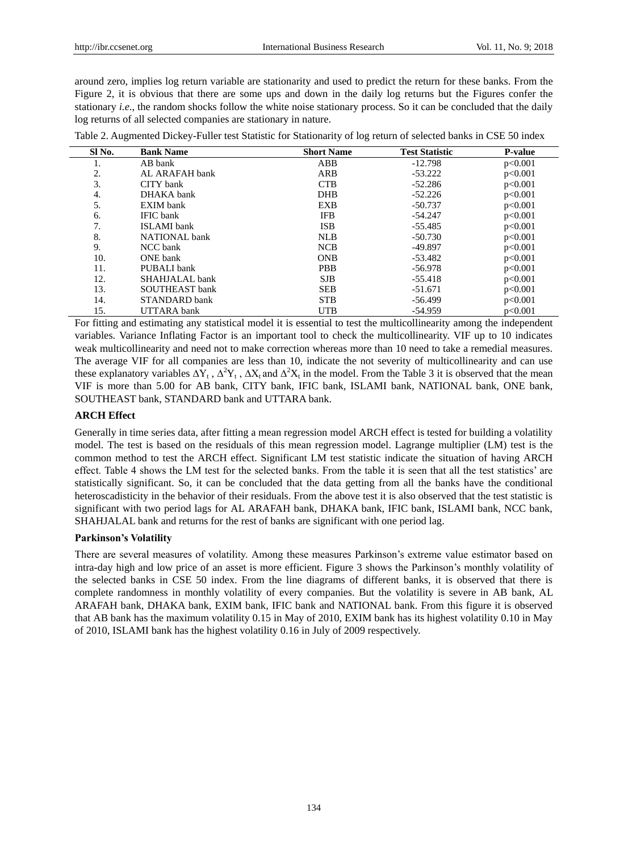around zero, implies log return variable are stationarity and used to predict the return for these banks. From the Figure 2, it is obvious that there are some ups and down in the daily log returns but the Figures confer the stationary *i.e*., the random shocks follow the white noise stationary process. So it can be concluded that the daily log returns of all selected companies are stationary in nature.

| SI <sub>No.</sub> | <b>Bank Name</b>      | <b>Short Name</b> | <b>Test Statistic</b> | <b>P-value</b> |
|-------------------|-----------------------|-------------------|-----------------------|----------------|
| 1.                | AB bank               | ABB               | $-12.798$             | p<0.001        |
| 2.                | AL ARAFAH bank        | ARB               | $-53.222$             | p<0.001        |
| 3.                | CITY bank             | <b>CTB</b>        | $-52.286$             | p<0.001        |
| 4.                | DHAKA bank            | <b>DHB</b>        | $-52.226$             | p<0.001        |
| 5.                | EXIM bank             | EXB               | $-50.737$             | p<0.001        |
| 6.                | <b>IFIC</b> bank      | <b>IFB</b>        | $-54.247$             | p<0.001        |
| 7.                | <b>ISLAMI</b> bank    | <b>ISB</b>        | $-55.485$             | p<0.001        |
| 8.                | <b>NATIONAL</b> bank  | <b>NLB</b>        | $-50.730$             | p<0.001        |
| 9.                | NCC bank              | <b>NCB</b>        | -49.897               | p<0.001        |
| 10.               | ONE bank              | <b>ONB</b>        | -53.482               | p<0.001        |
| 11.               | PUBALI bank           | <b>PBB</b>        | -56.978               | p<0.001        |
| 12.               | SHAHJALAL bank        | <b>SJB</b>        | $-55.418$             | p<0.001        |
| 13.               | <b>SOUTHEAST</b> bank | <b>SEB</b>        | $-51.671$             | p<0.001        |
| 14.               | STANDARD bank         | <b>STB</b>        | $-56.499$             | p<0.001        |
| 15.               | <b>UTTARA</b> bank    | <b>UTB</b>        | $-54.959$             | p<0.001        |

Table 2. Augmented Dickey-Fuller test Statistic for Stationarity of log return of selected banks in CSE 50 index

For fitting and estimating any statistical model it is essential to test the multicollinearity among the independent variables. Variance Inflating Factor is an important tool to check the multicollinearity. VIF up to 10 indicates weak multicollinearity and need not to make correction whereas more than 10 need to take a remedial measures. The average VIF for all companies are less than 10, indicate the not severity of multicollinearity and can use these explanatory variables  $\Delta Y_t$ ,  $\Delta^2 Y_t$ ,  $\Delta X_t$  and  $\Delta^2 X_t$  in the model. From the Table 3 it is observed that the mean VIF is more than 5.00 for AB bank, CITY bank, IFIC bank, ISLAMI bank, NATIONAL bank, ONE bank, SOUTHEAST bank, STANDARD bank and UTTARA bank.

# **ARCH Effect**

Generally in time series data, after fitting a mean regression model ARCH effect is tested for building a volatility model. The test is based on the residuals of this mean regression model. Lagrange multiplier (LM) test is the common method to test the ARCH effect. Significant LM test statistic indicate the situation of having ARCH effect. Table 4 shows the LM test for the selected banks. From the table it is seen that all the test statistics' are statistically significant. So, it can be concluded that the data getting from all the banks have the conditional heteroscadisticity in the behavior of their residuals. From the above test it is also observed that the test statistic is significant with two period lags for AL ARAFAH bank, DHAKA bank, IFIC bank, ISLAMI bank, NCC bank, SHAHJALAL bank and returns for the rest of banks are significant with one period lag.

# **Parkinson's Volatility**

There are several measures of volatility. Among these measures Parkinson's extreme value estimator based on intra-day high and low price of an asset is more efficient. Figure 3 shows the Parkinson's monthly volatility of the selected banks in CSE 50 index. From the line diagrams of different banks, it is observed that there is complete randomness in monthly volatility of every companies. But the volatility is severe in AB bank, AL ARAFAH bank, DHAKA bank, EXIM bank, IFIC bank and NATIONAL bank. From this figure it is observed that AB bank has the maximum volatility 0.15 in May of 2010, EXIM bank has its highest volatility 0.10 in May of 2010, ISLAMI bank has the highest volatility 0.16 in July of 2009 respectively.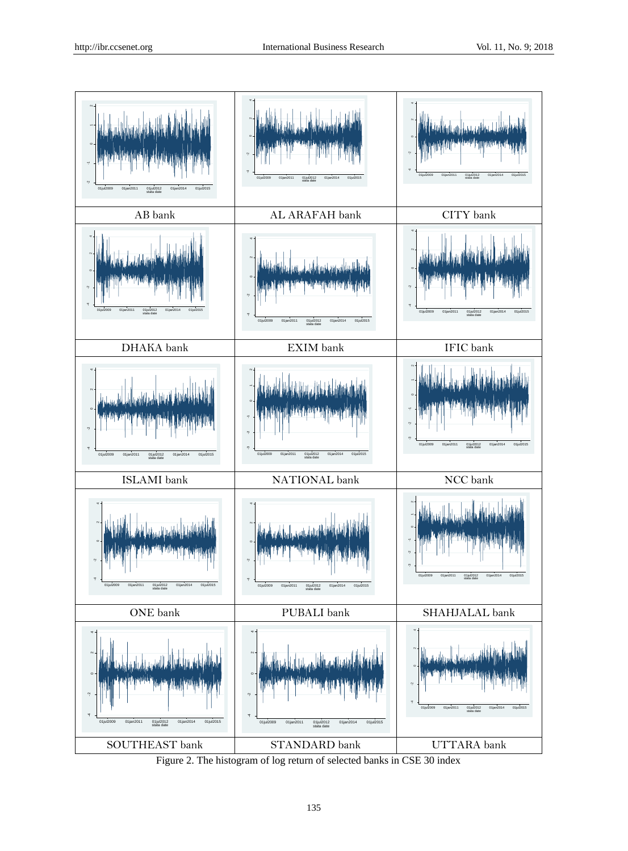

Figure 2. The histogram of log return of selected banks in CSE 30 index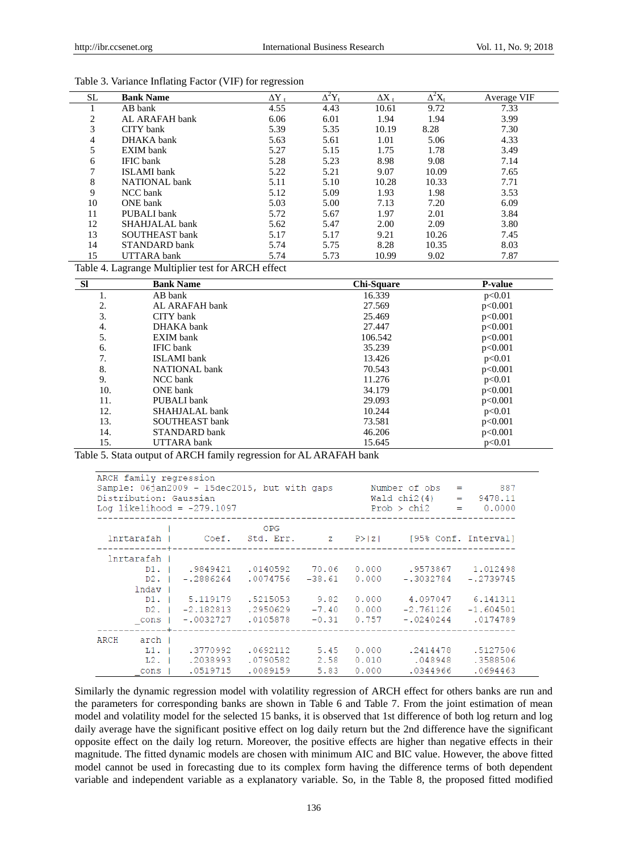| SL. | <b>Bank Name</b>   | $\Delta Y$ | $\overline{\Delta^2}Y_t$ | $\Delta X$ | $\Delta^2 X_t$ | Average VIF |
|-----|--------------------|------------|--------------------------|------------|----------------|-------------|
|     | AB bank            | 4.55       | 4.43                     | 10.61      | 9.72           | 7.33        |
| 2   | AL ARAFAH bank     | 6.06       | 6.01                     | 1.94       | 1.94           | 3.99        |
| 3   | CITY bank          | 5.39       | 5.35                     | 10.19      | 8.28           | 7.30        |
| 4   | DHAKA bank         | 5.63       | 5.61                     | 1.01       | 5.06           | 4.33        |
| 5   | <b>EXIM</b> bank   | 5.27       | 5.15                     | 1.75       | 1.78           | 3.49        |
| 6   | <b>IFIC</b> bank   | 5.28       | 5.23                     | 8.98       | 9.08           | 7.14        |
|     | <b>ISLAMI</b> bank | 5.22       | 5.21                     | 9.07       | 10.09          | 7.65        |
| 8   | NATIONAL bank      | 5.11       | 5.10                     | 10.28      | 10.33          | 7.71        |
| 9   | NCC bank           | 5.12       | 5.09                     | 1.93       | 1.98           | 3.53        |
| 10  | ONE bank           | 5.03       | 5.00                     | 7.13       | 7.20           | 6.09        |
| 11  | PUBALI bank        | 5.72       | 5.67                     | 1.97       | 2.01           | 3.84        |
| 12  | SHAHJALAL bank     | 5.62       | 5.47                     | 2.00       | 2.09           | 3.80        |
| 13  | SOUTHEAST bank     | 5.17       | 5.17                     | 9.21       | 10.26          | 7.45        |
| 14  | STANDARD bank      | 5.74       | 5.75                     | 8.28       | 10.35          | 8.03        |
| 15  | <b>UTTARA</b> bank | 5.74       | 5.73                     | 10.99      | 9.02           | 7.87        |

|  |  |  |  |  |  | Table 3. Variance Inflating Factor (VIF) for regression |
|--|--|--|--|--|--|---------------------------------------------------------|
|--|--|--|--|--|--|---------------------------------------------------------|

Table 4. Lagrange Multiplier test for ARCH effect

| <b>SI</b> | <b>Bank Name</b>     | Chi-Square | <b>P-value</b> |
|-----------|----------------------|------------|----------------|
| 1.        | AB bank              | 16.339     | p<0.01         |
| 2.        | AL ARAFAH bank       | 27.569     | p<0.001        |
| 3.        | CITY bank            | 25.469     | p<0.001        |
| 4.        | DHAKA bank           | 27.447     | p<0.001        |
| 5.        | EXIM bank            | 106.542    | p<0.001        |
| 6.        | <b>IFIC</b> bank     | 35.239     | p<0.001        |
| 7.        | <b>ISLAMI</b> bank   | 13.426     | p<0.01         |
| 8.        | <b>NATIONAL</b> bank | 70.543     | p<0.001        |
| 9.        | NCC bank             | 11.276     | p<0.01         |
| 10.       | ONE bank             | 34.179     | p<0.001        |
| 11.       | PUBALI bank          | 29.093     | p<0.001        |
| 12.       | SHAHJALAL bank       | 10.244     | p<0.01         |
| 13.       | SOUTHEAST bank       | 73.581     | p<0.001        |
| 14.       | STANDARD bank        | 46.206     | p<0.001        |
| 15.       | <b>UTTARA</b> bank   | 15.645     | p<0.01         |

Table 5. Stata output of ARCH family regression for AL ARAFAH bank

| ARCH family regression<br>Sample: 06jan2009 - 15dec2015, but with gaps<br>Distribution: Gaussian<br>Log likelihood = $-279.1097$ |                                       |                       |                    |  | Number of $obs = 887$<br>Wald chi2(4) = $9478.11$<br>$Prob > chi2 = 0.0000$ |          |
|----------------------------------------------------------------------------------------------------------------------------------|---------------------------------------|-----------------------|--------------------|--|-----------------------------------------------------------------------------|----------|
|                                                                                                                                  |                                       | OPG.                  |                    |  | lnrtarafah   Coef. Std. Err.   z P> z  [95% Conf. Interval]                 |          |
| Inrtarafah I                                                                                                                     |                                       |                       |                    |  |                                                                             |          |
|                                                                                                                                  |                                       |                       |                    |  | D1. I .9849421 .0140592 70.06 0.000 .9573867 1.012498                       |          |
|                                                                                                                                  | D2. I -.2886264                       | .0074756 -38.61 0.000 |                    |  | $-.3032784 - .2739745$                                                      |          |
| lndav                                                                                                                            |                                       |                       |                    |  |                                                                             |          |
|                                                                                                                                  |                                       |                       |                    |  | D1.   5.119179 .5215053 9.82 0.000 4.097047 6.141311                        |          |
|                                                                                                                                  | $D2. 1 -2.182813$ . 2950629           |                       | $-7.40\quad 0.000$ |  | $-2.761126 -1.604501$                                                       |          |
|                                                                                                                                  | cons   -.0032727 .0105878 -0.31 0.757 |                       |                    |  | $-.0240244$ .0174789                                                        |          |
| ARCH arch I                                                                                                                      |                                       |                       |                    |  |                                                                             |          |
|                                                                                                                                  |                                       |                       |                    |  | L1. I .3770992 .0692112 5.45 0.000 .2414478                                 | .5127506 |
|                                                                                                                                  | L2. 1 .2038993                        | .0790582              | 2.58               |  | $0.010$ . $048948$                                                          | .3588506 |
| cons                                                                                                                             | .0519715                              | .0089159              | 5.83               |  | $0.000$ . $0344966$                                                         | .0694463 |

Similarly the dynamic regression model with volatility regression of ARCH effect for others banks are run and the parameters for corresponding banks are shown in Table 6 and Table 7. From the joint estimation of mean model and volatility model for the selected 15 banks, it is observed that 1st difference of both log return and log daily average have the significant positive effect on log daily return but the 2nd difference have the significant opposite effect on the daily log return. Moreover, the positive effects are higher than negative effects in their magnitude. The fitted dynamic models are chosen with minimum AIC and BIC value. However, the above fitted model cannot be used in forecasting due to its complex form having the difference terms of both dependent variable and independent variable as a explanatory variable. So, in the Table 8, the proposed fitted modified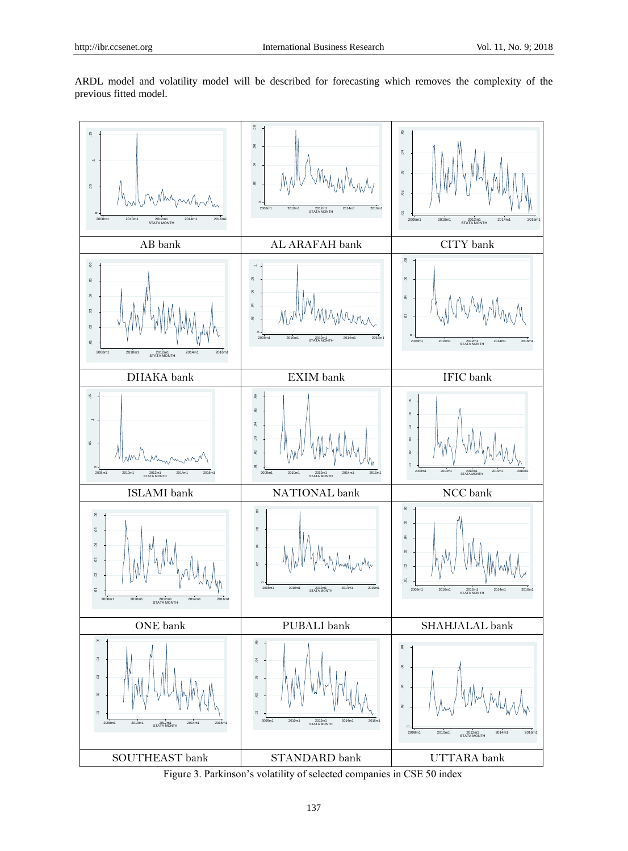ARDL model and volatility model will be described for forecasting which removes the complexity of the previous fitted model.



Figure 3. Parkinson's volatility of selected companies in CSE 50 index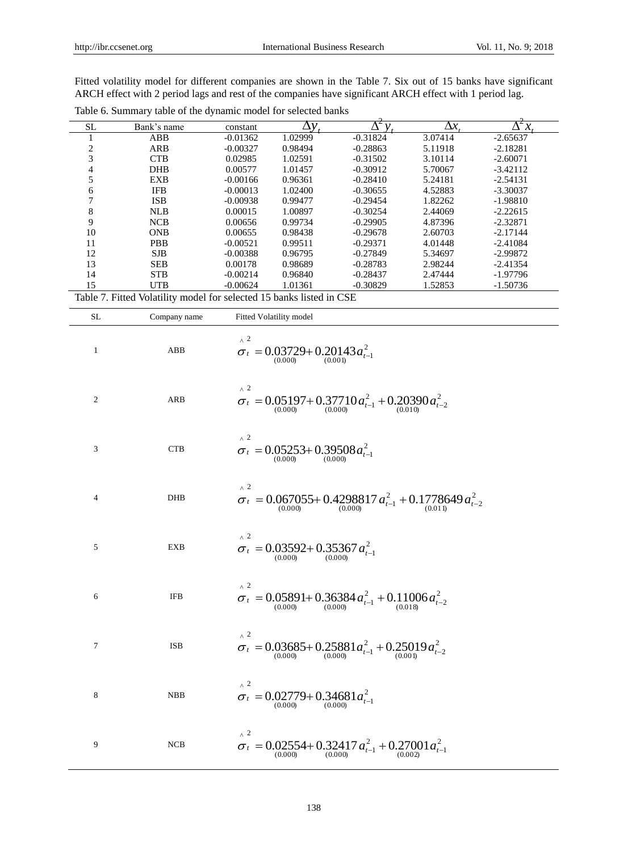Fitted volatility model for different companies are shown in the Table 7. Six out of 15 banks have significant ARCH effect with 2 period lags and rest of the companies have significant ARCH effect with 1 period lag.

| <b>SL</b> | Bank's name                                                          | constant   | Λν      |            | $\Delta x$ | ē<br>x<br>Δ |
|-----------|----------------------------------------------------------------------|------------|---------|------------|------------|-------------|
|           | ABB                                                                  | $-0.01362$ | 1.02999 | $-0.31824$ | 3.07414    | $-2.65637$  |
| 2         | ARB                                                                  | $-0.00327$ | 0.98494 | $-0.28863$ | 5.11918    | $-2.18281$  |
|           | <b>CTB</b>                                                           | 0.02985    | 1.02591 | $-0.31502$ | 3.10114    | $-2.60071$  |
| 4         | <b>DHB</b>                                                           | 0.00577    | 1.01457 | $-0.30912$ | 5.70067    | $-3.42112$  |
|           | EXB                                                                  | $-0.00166$ | 0.96361 | $-0.28410$ | 5.24181    | $-2.54131$  |
| 6         | <b>IFB</b>                                                           | $-0.00013$ | 1.02400 | $-0.30655$ | 4.52883    | $-3.30037$  |
|           | <b>ISB</b>                                                           | $-0.00938$ | 0.99477 | $-0.29454$ | 1.82262    | $-1.98810$  |
| 8         | <b>NLB</b>                                                           | 0.00015    | 1.00897 | $-0.30254$ | 2.44069    | $-2.22615$  |
| 9         | <b>NCB</b>                                                           | 0.00656    | 0.99734 | $-0.29905$ | 4.87396    | $-2.32871$  |
| 10        | <b>ONB</b>                                                           | 0.00655    | 0.98438 | $-0.29678$ | 2.60703    | $-2.17144$  |
| 11        | <b>PBB</b>                                                           | $-0.00521$ | 0.99511 | $-0.29371$ | 4.01448    | $-2.41084$  |
| 12        | <b>SJB</b>                                                           | $-0.00388$ | 0.96795 | $-0.27849$ | 5.34697    | $-2.99872$  |
| 13        | <b>SEB</b>                                                           | 0.00178    | 0.98689 | $-0.28783$ | 2.98244    | $-2.41354$  |
| 14        | <b>STB</b>                                                           | $-0.00214$ | 0.96840 | $-0.28437$ | 2.47444    | $-1.97796$  |
| 15        | <b>UTB</b>                                                           | $-0.00624$ | 1.01361 | $-0.30829$ | 1.52853    | $-1.50736$  |
|           | Table 7. Fitted Volatility model for selected 15 banks listed in CSE |            |         |            |            |             |

| <b>SL</b>        | Company name              | Fitted Volatility model                                                         |
|------------------|---------------------------|---------------------------------------------------------------------------------|
| $\mathbf{1}$     | ${\bf A} {\bf B} {\bf B}$ | $\lambda^2$<br>$\sigma_t = 0.03729 + 0.20143 a_{t-1}^2$                         |
| $\boldsymbol{2}$ | <b>ARB</b>                | $\lambda^2$<br>$\sigma_t = 0.05197 + 0.37710 a_{t-1}^2 + 0.20390 a_{t-2}^2$     |
| 3                | <b>CTB</b>                | $\wedge$ 2<br>$\sigma_t = 0.05253 + 0.39508 a_{t-1}^2$                          |
| 4                | DHB                       | $\wedge$ 2<br>$\sigma_t = 0.067055 + 0.4298817 a_{t-1}^2 + 0.1778649 a_{t-2}^2$ |
| 5                | <b>EXB</b>                | $\wedge$ 2<br>$\sigma_t = 0.03592 + 0.35367 a_{t-1}^2$                          |
| 6                | <b>IFB</b>                | $\wedge$ 2<br>$\sigma_t = 0.05891 + 0.36384 a_{t-1}^2 + 0.11006 a_{t-2}^2$      |
| 7                | <b>ISB</b>                | $\lambda^2$<br>$\sigma_t = 0.03685 + 0.25881 a_{t-1}^2 + 0.25019 a_{t-2}^2$     |
| 8                | <b>NBB</b>                | $\wedge$ 2<br>$\sigma_t = 0.02779 + 0.34681 a_{t-1}^2$                          |
| 9                | <b>NCB</b>                | $\wedge$ 2<br>$\sigma_t = 0.02554 + 0.32417 a_{t-1}^2 + 0.27001 a_{t-1}^2$      |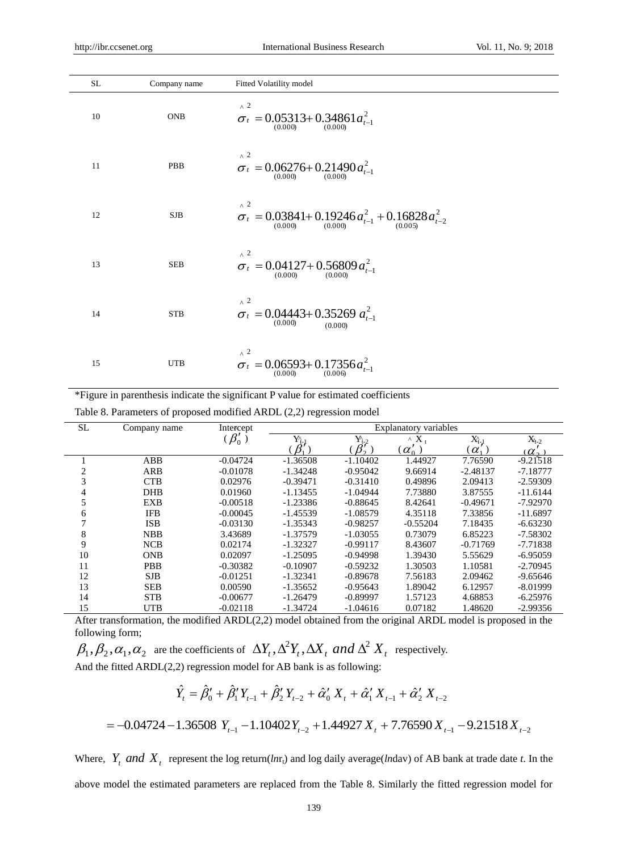| <b>SL</b> | Company name | Fitted Volatility model                                                    |
|-----------|--------------|----------------------------------------------------------------------------|
| 10        | <b>ONB</b>   | $\lambda^2$<br>$\sigma_t = 0.05313 + 0.34861 a_{t-1}^2$                    |
| 11        | PBB          | $\lambda^2$<br>$\sigma_t = 0.06276 + 0.21490 a_{t-1}^2$                    |
| 12        | ${\rm SJB}$  | $\wedge$ 2<br>$\sigma_t = 0.03841 + 0.19246 a_{t-1}^2 + 0.16828 a_{t-2}^2$ |
| 13        | <b>SEB</b>   | $\wedge$ 2<br>$\sigma_t = 0.04127 + 0.56809 a_{t-1}^2$                     |
| 14        | <b>STB</b>   | $\wedge$ 2<br>$\sigma_t = 0.04443 + 0.35269 a_{t-1}^2$<br>(0.000)          |
| 15        | <b>UTB</b>   | $\wedge$ 2<br>$\sigma_t = 0.06593 + 0.17356 a_{t-1}^2$                     |

\*Figure in parenthesis indicate the significant P value for estimated coefficients

Table 8. Parameters of proposed modified ARDL (2,2) regression model

| <b>SL</b> | Company name | Intercept  | Explanatory variables |                 |               |            |            |
|-----------|--------------|------------|-----------------------|-----------------|---------------|------------|------------|
|           |              | $\beta_0'$ | $Y_{t-}$              | $Y_{t-2}$       | $X_{t}$<br>Λ. | $X_{t-1}$  | $X_{t-2}$  |
|           |              |            |                       | $\beta_\gamma'$ | $\alpha'_{0}$ | $\alpha$   | $\alpha$   |
|           | ABB          | $-0.04724$ | $-1.36508$            | $-1.10402$      | 1.44927       | 7.76590    | $-9.21518$ |
| 2         | ARB          | $-0.01078$ | $-1.34248$            | $-0.95042$      | 9.66914       | $-2.48137$ | $-7.18777$ |
| 3         | <b>CTB</b>   | 0.02976    | $-0.39471$            | $-0.31410$      | 0.49896       | 2.09413    | $-2.59309$ |
|           | <b>DHB</b>   | 0.01960    | $-1.13455$            | $-1.04944$      | 7.73880       | 3.87555    | $-11.6144$ |
|           | <b>EXB</b>   | $-0.00518$ | $-1.23386$            | $-0.88645$      | 8.42641       | $-0.49671$ | $-7.92970$ |
| 6         | <b>IFB</b>   | $-0.00045$ | $-1.45539$            | $-1.08579$      | 4.35118       | 7.33856    | $-11.6897$ |
|           | <b>ISB</b>   | $-0.03130$ | $-1.35343$            | $-0.98257$      | $-0.55204$    | 7.18435    | $-6.63230$ |
| 8         | <b>NBB</b>   | 3.43689    | $-1.37579$            | $-1.03055$      | 0.73079       | 6.85223    | $-7.58302$ |
| 9         | <b>NCB</b>   | 0.02174    | $-1.32327$            | $-0.99117$      | 8.43607       | $-0.71769$ | $-7.71838$ |
| 10        | <b>ONB</b>   | 0.02097    | $-1.25095$            | $-0.94998$      | 1.39430       | 5.55629    | $-6.95059$ |
| 11        | <b>PBB</b>   | $-0.30382$ | $-0.10907$            | $-0.59232$      | 1.30503       | 1.10581    | $-2.70945$ |
| 12        | <b>SJB</b>   | $-0.01251$ | $-1.32341$            | $-0.89678$      | 7.56183       | 2.09462    | $-9.65646$ |
| 13        | <b>SEB</b>   | 0.00590    | $-1.35652$            | $-0.95643$      | 1.89042       | 6.12957    | $-8.01999$ |
| 14        | <b>STB</b>   | $-0.00677$ | $-1.26479$            | $-0.89997$      | 1.57123       | 4.68853    | $-6.25976$ |
| 15        | <b>UTB</b>   | $-0.02118$ | $-1.34724$            | $-1.04616$      | 0.07182       | 1.48620    | $-2.99356$ |

After transformation, the modified ARDL(2,2) model obtained from the original ARDL model is proposed in the following form;

 $\beta_1, \beta_2, \alpha_1, \alpha_2$  are the coefficients of  $\,\Delta Y_t, \Delta^2 Y_t, \Delta X_t\,$  and  $\Delta^2\,X_t\,$  respectively. And the fitted ARDL(2,2) regression model for AB bank is as following:

$$
\hat{Y}_t = \hat{\beta}'_0 + \hat{\beta}'_1 Y_{t-1} + \hat{\beta}'_2 Y_{t-2} + \hat{\alpha}'_0 X_t + \hat{\alpha}'_1 X_{t-1} + \hat{\alpha}'_2 X_{t-2}
$$

$$
= -0.04724 - 1.36508 Y_{t-1} - 1.10402 Y_{t-2} + 1.44927 X_t + 7.76590 X_{t-1} - 9.21518 X_{t-2}
$$

Where,  $Y_t$  *and*  $X_t$  represent the log return(*ln*r<sub>t</sub>) and log daily average(*ln*dav) of AB bank at trade date *t*. In the above model the estimated parameters are replaced from the Table 8. Similarly the fitted regression model for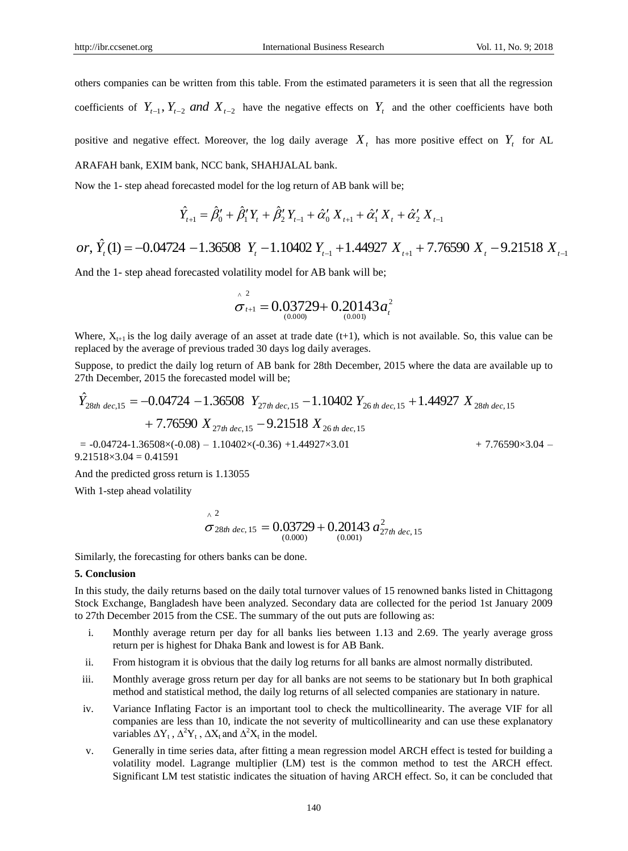others companies can be written from this table. From the estimated parameters it is seen that all the regression coefficients of  $Y_{t-1}$ ,  $Y_{t-2}$  *and*  $X_{t-2}$  have the negative effects on  $Y_t$  and the other coefficients have both

positive and negative effect. Moreover, the log daily average  $X_t$  has more positive effect on  $Y_t$  for AL

ARAFAH bank, EXIM bank, NCC bank, SHAHJALAL bank.

Now the 1- step ahead forecasted model for the log return of AB bank will be;

$$
\hat{Y}_{t+1} = \hat{\beta}'_0 + \hat{\beta}'_1 Y_t + \hat{\beta}'_2 Y_{t-1} + \hat{\alpha}'_0 X_{t+1} + \hat{\alpha}'_1 X_t + \hat{\alpha}'_2 X_{t-1}
$$

*or*, 
$$
\hat{Y}_t(1) = -0.04724 - 1.36508 Y_t - 1.10402 Y_{t-1} + 1.44927 X_{t+1} + 7.76590 X_t - 9.21518 X_{t-1}
$$

And the 1- step ahead forecasted volatility model for AB bank will be;

$$
\hat{\sigma}_{t+1}^2 = 0.03729 + 0.20143 a_t^2
$$

Where,  $X_{t+1}$  is the log daily average of an asset at trade date (t+1), which is not available. So, this value can be replaced by the average of previous traded 30 days log daily averages.

Suppose, to predict the daily log return of AB bank for 28th December, 2015 where the data are available up to 27th December, 2015 the forecasted model will be;

$$
\hat{Y}_{28th\text{ dec},15} = -0.04724 - 1.36508 \quad Y_{27th\text{ dec},15} - 1.10402 \quad Y_{26\text{ th dec},15} + 1.44927 \quad X_{28th\text{ dec},15} + 7.76590 \quad X_{27th\text{ dec},15} - 9.21518 \quad X_{26\text{ th dec},15} + 1.44927 \quad X_{28th\text{ dec},15} + 7.76590 \quad X_{27th\text{ dec},15} - 9.21518 \quad X_{26\text{ th dec},15} + 1.44927 \quad X_{28th\text{ dec},15} + 7.76590 \quad X_{27th\text{ dec},15} - 9.21518 \quad X_{26\text{ th dec},15} + 1.44927 \quad X_{28th\text{ dec},15} + 7.76590 \quad X_{29th\text{ dec},15} + 7.76590 \quad X_{20th\text{ dec},15} + 7.76590 \quad X_{21th\text{ dec},15} + 7.76590 \quad X_{22th\text{ dec},15} + 7.76590 \quad X_{23th\text{ dec},15} + 7.76590 \quad X_{24th\text{ dec},15} + 7.76590 \quad X_{25th\text{ dec},15} + 7.76590 \quad X_{26th\text{ dec},15} + 7.76590 \quad X_{27th\text{ dec},15} + 7.76590 \quad X_{28th\text{ dec},15} + 7.76590 \quad X_{29th\text{ dec},15} + 7.76590 \quad X_{20th\text{ dec},15} + 7.76590 \quad X_{21th\text{ dec},15} + 7.76590 \quad X_{22th\text{ dec},15} + 7.76590 \quad X_{23th\text{ dec},15} + 7.76590 \quad X_{24th\text{ dec},15} + 7.76590 \quad X_{25th\text{ dec},15} + 7.76590 \quad X_{26th\text{ dec},15} + 7.76590 \quad X_{27
$$

 $9.21518 \times 3.04 = 0.41591$ 

And the predicted gross return is 1.13055

With 1-step ahead volatility

$$
\sigma^{2}
$$
  
\n
$$
\sigma_{28th\ dec,\ 15} = 0.03729 + 0.20143 a_{27th\ dec,\ 15}^{2}
$$
  
\n
$$
\sigma_{(0.000)}^{2}
$$

Similarly, the forecasting for others banks can be done.

## **5. Conclusion**

In this study, the daily returns based on the daily total turnover values of 15 renowned banks listed in Chittagong Stock Exchange, Bangladesh have been analyzed. Secondary data are collected for the period 1st January 2009 to 27th December 2015 from the CSE. The summary of the out puts are following as:

- i. Monthly average return per day for all banks lies between 1.13 and 2.69. The yearly average gross return per is highest for Dhaka Bank and lowest is for AB Bank.
- ii. From histogram it is obvious that the daily log returns for all banks are almost normally distributed.
- iii. Monthly average gross return per day for all banks are not seems to be stationary but In both graphical method and statistical method, the daily log returns of all selected companies are stationary in nature.
- iv. Variance Inflating Factor is an important tool to check the multicollinearity. The average VIF for all companies are less than 10, indicate the not severity of multicollinearity and can use these explanatory variables  $\Delta Y_t$ ,  $\Delta^2 Y_t$ ,  $\Delta X_t$  and  $\Delta^2 X_t$  in the model.
- v. Generally in time series data, after fitting a mean regression model ARCH effect is tested for building a volatility model. Lagrange multiplier (LM) test is the common method to test the ARCH effect. Significant LM test statistic indicates the situation of having ARCH effect. So, it can be concluded that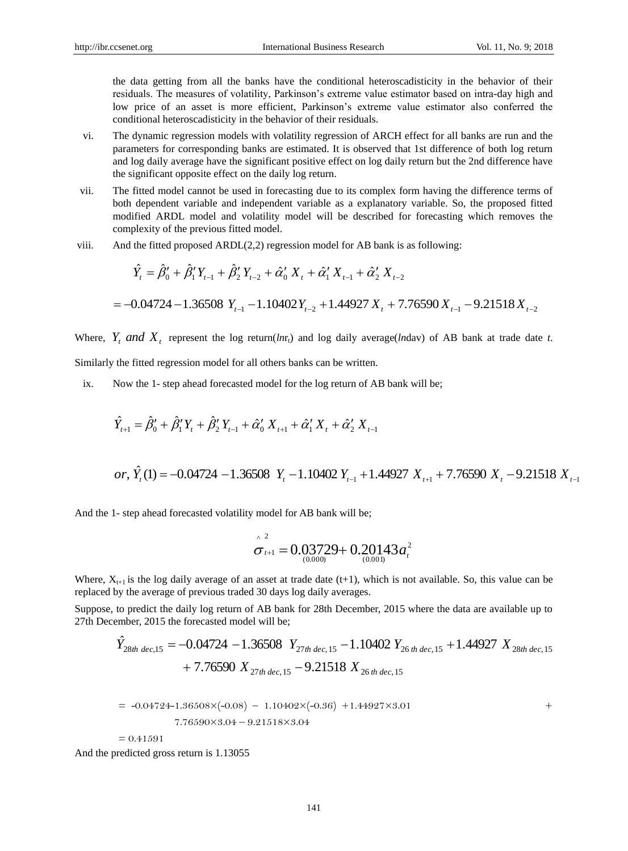the data getting from all the banks have the conditional heteroscadisticity in the behavior of their residuals. The measures of volatility, Parkinson's extreme value estimator based on intra-day high and low price of an asset is more efficient, Parkinson's extreme value estimator also conferred the conditional heteroscadisticity in the behavior of their residuals.

- vi. The dynamic regression models with volatility regression of ARCH effect for all banks are run and the parameters for corresponding banks are estimated. It is observed that 1st difference of both log return and log daily average have the significant positive effect on log daily return but the 2nd difference have the significant opposite effect on the daily log return.
- vii. The fitted model cannot be used in forecasting due to its complex form having the difference terms of both dependent variable and independent variable as a explanatory variable. So, the proposed fitted modified ARDL model and volatility model will be described for forecasting which removes the complexity of the previous fitted model.
- viii. And the fitted proposed ARDL(2,2) regression model for AB bank is as following:

$$
\hat{Y}_t = \hat{\beta}_0' + \hat{\beta}_1' Y_{t-1} + \hat{\beta}_2' Y_{t-2} + \hat{\alpha}_0' X_t + \hat{\alpha}_1' X_{t-1} + \hat{\alpha}_2' X_{t-2}
$$
  
= -0.04724 - 1.36508 Y<sub>t-1</sub> - 1.10402Y<sub>t-2</sub> + 1.44927 X<sub>t</sub> + 7.76590 X<sub>t-1</sub> - 9.21518 X<sub>t-2</sub>

Where,  $Y_t$  and  $X_t$  represent the log return(*ln*r<sub>t</sub>) and log daily average(*ln*dav) of AB bank at trade date *t*. Similarly the fitted regression model for all others banks can be written.

ix. Now the 1- step ahead forecasted model for the log return of AB bank will be;

$$
\hat{Y}_{t+1} = \hat{\beta}'_0 + \hat{\beta}'_1 Y_t + \hat{\beta}'_2 Y_{t-1} + \hat{\alpha}'_0 X_{t+1} + \hat{\alpha}'_1 X_t + \hat{\alpha}'_2 X_{t-1}
$$
\n*or,*  $\hat{Y}_t(1) = -0.04724 - 1.36508 Y_t - 1.10402 Y_{t-1} + 1.44927 X_{t+1} + 7.76590 X_t - 9.21518 X_{t-1}$ 

And the 1- step ahead forecasted volatility model for AB bank will be;

$$
\hat{\sigma}_{t+1}^2 = 0.03729 + 0.20143 a_t^2
$$

Where,  $X_{t+1}$  is the log daily average of an asset at trade date (t+1), which is not available. So, this value can be replaced by the average of previous traded 30 days log daily averages.

Suppose, to predict the daily log return of AB bank for 28th December, 2015 where the data are available up to 27th December, 2015 the forecasted model will be;

$$
\hat{Y}_{28th\ dec,15} = -0.04724 - 1.36508 Y_{27th\ dec,15} - 1.10402 Y_{26\ th\ dec,15} + 1.44927 X_{28th\ dec,15} \n+ 7.76590 X_{27th\ dec,15} - 9.21518 X_{26\ th\ dec,15}
$$

$$
= -0.04724 - 1.36508 \times (-0.08) - 1.10402 \times (-0.36) + 1.44927 \times 3.01
$$
  
7.76590 \times 3.04 - 9.21518 \times 3.04

 $= 0.41591$ 

And the predicted gross return is 1.13055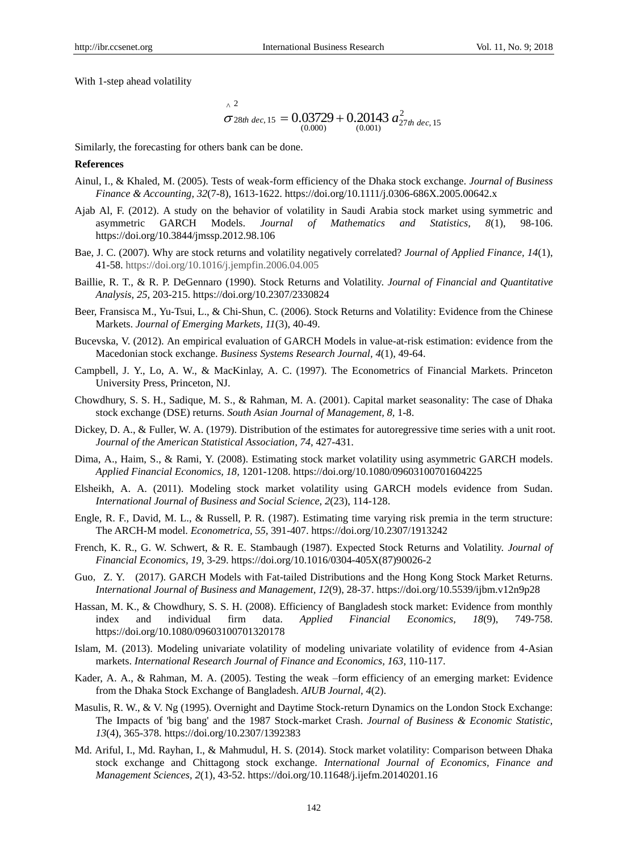With 1-step ahead volatility

$$
\sigma^{2}
$$
  
\n
$$
\sigma_{28th\ dec,\ 15} = 0.03729 + 0.20143 a_{27th\ dec,\ 15}^{2}
$$
  
\n(0.000) (0.001)

Similarly, the forecasting for others bank can be done.

#### **References**

- Ainul, I., & Khaled, M. (2005). Tests of weak-form efficiency of the Dhaka stock exchange. *Journal of Business Finance & Accounting, 32*(7-8), 1613-1622. https://doi.org/10.1111/j.0306-686X.2005.00642.x
- Ajab Al, F. (2012). A study on the behavior of volatility in Saudi Arabia stock market using symmetric and asymmetric GARCH Models. *Journal of Mathematics and Statistics, 8*(1), 98-106. https://doi.org/10.3844/jmssp.2012.98.106
- Bae, J. C. (2007). Why are stock returns and volatility negatively correlated? *Journal of Applied Finance, 14*(1), 41-58. https://doi.org/10.1016/j.jempfin.2006.04.005
- Baillie, R. T., & R. P. DeGennaro (1990). Stock Returns and Volatility. *Journal of Financial and Quantitative Analysis, 25,* 203-215. https://doi.org/10.2307/2330824
- Beer, Fransisca M., Yu-Tsui, L., & Chi-Shun, C. (2006). Stock Returns and Volatility: Evidence from the Chinese Markets. *Journal of Emerging Markets, 11*(3), 40-49.
- Bucevska, V. (2012). An empirical evaluation of GARCH Models in value-at-risk estimation: evidence from the Macedonian stock exchange. *[Business Systems Research Journal,](http://cejsh.icm.edu.pl/cejsh/element/bwmeta1.element.issn-1847-9375) 4*(1), 49-64.
- Campbell, J. Y., Lo, A. W., & MacKinlay, A. C. (1997). The Econometrics of Financial Markets. Princeton University Press, Princeton, NJ.
- Chowdhury, S. S. H., Sadique, M. S., & Rahman, M. A. (2001). Capital market seasonality: The case of Dhaka stock exchange (DSE) returns. *South Asian Journal of Management, 8,* 1-8.
- Dickey, D. A., & Fuller, W. A. (1979). Distribution of the estimates for autoregressive time series with a unit root. *Journal of the American Statistical Association, 74,* 427-431.
- Dima, A., Haim, S., & Rami, Y. (2008). Estimating stock market volatility using asymmetric GARCH models. *Applied Financial Economics, 18,* 1201-1208. https://doi.org/10.1080/09603100701604225
- Elsheikh, A. A. (2011). Modeling stock market volatility using GARCH models evidence from Sudan. *International Journal of Business and Social Science, 2*(23), 114-128.
- Engle, R. F., David, M. L., & Russell, P. R. (1987). Estimating time varying risk premia in the term structure: The ARCH-M model. *Econometrica, 55,* 391-407. https://doi.org/10.2307/1913242
- French, K. R., G. W. Schwert, & R. E. Stambaugh (1987). Expected Stock Returns and Volatility. *Journal of Financial Economics, 19,* 3-29. https://doi.org/10.1016/0304-405X(87)90026-2
- Guo, Z. Y. (2017). GARCH Models with Fat-tailed Distributions and the Hong Kong Stock Market Returns. *International Journal of Business and Management, 12*(9), 28-37. https://doi.org/10.5539/ijbm.v12n9p28
- Hassan, M. K., & Chowdhury, S. S. H. (2008). Efficiency of Bangladesh stock market: Evidence from monthly index and individual firm data. *Applied Financial Economics, 18*(9), 749-758. https://doi.org/10.1080/09603100701320178
- Islam, M. (2013). Modeling univariate volatility of modeling univariate volatility of evidence from 4-Asian markets. *International Research Journal of Finance and Economics, 163,* 110-117.
- Kader, A. A., & Rahman, M. A. (2005). Testing the weak –form efficiency of an emerging market: Evidence from the Dhaka Stock Exchange of Bangladesh. *AIUB Journal, 4*(2).
- Masulis, R. W., & V. Ng (1995). Overnight and Daytime Stock-return Dynamics on the London Stock Exchange: The Impacts of 'big bang' and the 1987 Stock-market Crash. *Journal of Business & Economic Statistic, 13*(4), 365-378. https://doi.org/10.2307/1392383
- Md. Ariful, I., Md. Rayhan, I., & Mahmudul, H. S. (2014). Stock market volatility: Comparison between Dhaka stock exchange and Chittagong stock exchange. *International Journal of Economics, Finance and Management Sciences, 2*(1), 43-52. https://doi.org/10.11648/j.ijefm.20140201.16